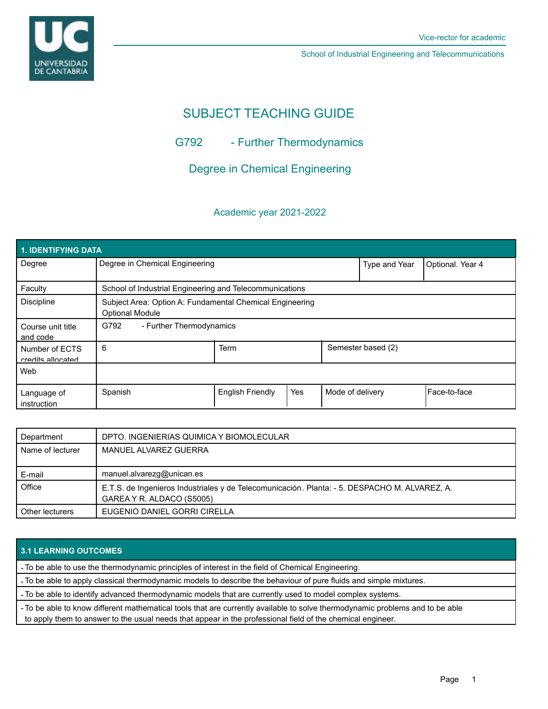

School of Industrial Engineering and Telecommunications

# SUBJECT TEACHING GUIDE

## G792 - Further Thermodynamics

## Degree in Chemical Engineering

### Academic year 2021-2022

| 1. IDENTIFYING DATA                 |                                                                                    |                         |     |                    |                  |                |  |  |  |
|-------------------------------------|------------------------------------------------------------------------------------|-------------------------|-----|--------------------|------------------|----------------|--|--|--|
| Degree                              | Degree in Chemical Engineering                                                     |                         |     | Type and Year      | Optional. Year 4 |                |  |  |  |
| Faculty                             | School of Industrial Engineering and Telecommunications                            |                         |     |                    |                  |                |  |  |  |
| <b>Discipline</b>                   | Subject Area: Option A: Fundamental Chemical Engineering<br><b>Optional Module</b> |                         |     |                    |                  |                |  |  |  |
| Course unit title<br>and code       | G792<br>- Further Thermodynamics                                                   |                         |     |                    |                  |                |  |  |  |
| Number of ECTS<br>credits allocated | 6                                                                                  | <b>Term</b>             |     | Semester based (2) |                  |                |  |  |  |
| Web                                 |                                                                                    |                         |     |                    |                  |                |  |  |  |
| Language of<br>instruction          | Spanish                                                                            | <b>English Friendly</b> | Yes | Mode of delivery   |                  | l Face-to-face |  |  |  |

| Department       | DPTO. INGENIERIAS QUIMICA Y BIOMOLECULAR                                                                                   |
|------------------|----------------------------------------------------------------------------------------------------------------------------|
| Name of lecturer | MANUEL ALVAREZ GUERRA                                                                                                      |
| E-mail           | manuel.alvarezg@unican.es                                                                                                  |
| Office           | E.T.S. de Ingenieros Industriales y de Telecomunicación. Planta: - 5. DESPACHO M. ALVAREZ, A.<br>GAREA Y R. ALDACO (S5005) |
| Other lecturers  | EUGENIO DANIEL GORRI CIRELLA                                                                                               |

## **3.1 LEARNING OUTCOMES**

- To be able to use the thermodynamic principles of interest in the field of Chemical Engineering.

- To be able to apply classical thermodynamic models to describe the behaviour of pure fluids and simple mixtures.

- To be able to identify advanced thermodynamic models that are currently used to model complex systems.

- To be able to know different mathematical tools that are currently available to solve thermodynamic problems and to be able to apply them to answer to the usual needs that appear in the professional field of the chemical engineer.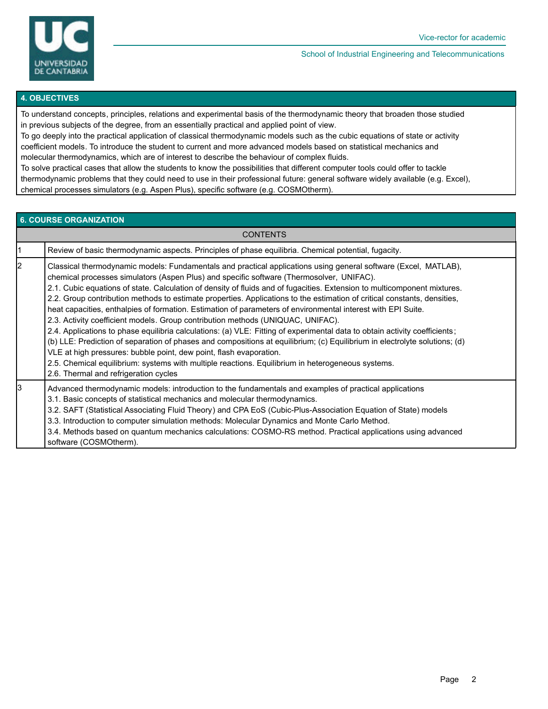

#### School of Industrial Engineering and Telecommunications

#### **4. OBJECTIVES**

To understand concepts, principles, relations and experimental basis of the thermodynamic theory that broaden those studied in previous subjects of the degree, from an essentially practical and applied point of view.

To go deeply into the practical application of classical thermodynamic models such as the cubic equations of state or activity coefficient models. To introduce the student to current and more advanced models based on statistical mechanics and molecular thermodynamics, which are of interest to describe the behaviour of complex fluids.

To solve practical cases that allow the students to know the possibilities that different computer tools could offer to tackle thermodynamic problems that they could need to use in their professional future: general software widely available (e.g. Excel), chemical processes simulators (e.g. Aspen Plus), specific software (e.g. COSMOtherm).

#### **6. COURSE ORGANIZATION**

| CONTENTS |                                                                                                                                                                                                                                                                                                                                                                                                                                                                                                                                                                                                                                                                                                                                                                                                                                                                                                                                                                                                                                                                                                                                                        |  |  |  |
|----------|--------------------------------------------------------------------------------------------------------------------------------------------------------------------------------------------------------------------------------------------------------------------------------------------------------------------------------------------------------------------------------------------------------------------------------------------------------------------------------------------------------------------------------------------------------------------------------------------------------------------------------------------------------------------------------------------------------------------------------------------------------------------------------------------------------------------------------------------------------------------------------------------------------------------------------------------------------------------------------------------------------------------------------------------------------------------------------------------------------------------------------------------------------|--|--|--|
|          | Review of basic thermodynamic aspects. Principles of phase equilibria. Chemical potential, fugacity.                                                                                                                                                                                                                                                                                                                                                                                                                                                                                                                                                                                                                                                                                                                                                                                                                                                                                                                                                                                                                                                   |  |  |  |
| 2        | Classical thermodynamic models: Fundamentals and practical applications using general software (Excel, MATLAB),<br>chemical processes simulators (Aspen Plus) and specific software (Thermosolver, UNIFAC).<br>2.1. Cubic equations of state. Calculation of density of fluids and of fugacities. Extension to multicomponent mixtures.<br>2.2. Group contribution methods to estimate properties. Applications to the estimation of critical constants, densities,<br>heat capacities, enthalpies of formation. Estimation of parameters of environmental interest with EPI Suite.<br>2.3. Activity coefficient models. Group contribution methods (UNIQUAC, UNIFAC).<br>2.4. Applications to phase equilibria calculations: (a) VLE: Fitting of experimental data to obtain activity coefficients;<br>(b) LLE: Prediction of separation of phases and compositions at equilibrium; (c) Equilibrium in electrolyte solutions; (d)<br>VLE at high pressures: bubble point, dew point, flash evaporation.<br>2.5. Chemical equilibrium: systems with multiple reactions. Equilibrium in heterogeneous systems.<br>2.6. Thermal and refrigeration cycles |  |  |  |
| 3        | Advanced thermodynamic models: introduction to the fundamentals and examples of practical applications<br>3.1. Basic concepts of statistical mechanics and molecular thermodynamics.<br>3.2. SAFT (Statistical Associating Fluid Theory) and CPA EoS (Cubic-Plus-Association Equation of State) models<br>3.3. Introduction to computer simulation methods: Molecular Dynamics and Monte Carlo Method.<br>3.4. Methods based on quantum mechanics calculations: COSMO-RS method. Practical applications using advanced<br>software (COSMOtherm).                                                                                                                                                                                                                                                                                                                                                                                                                                                                                                                                                                                                       |  |  |  |